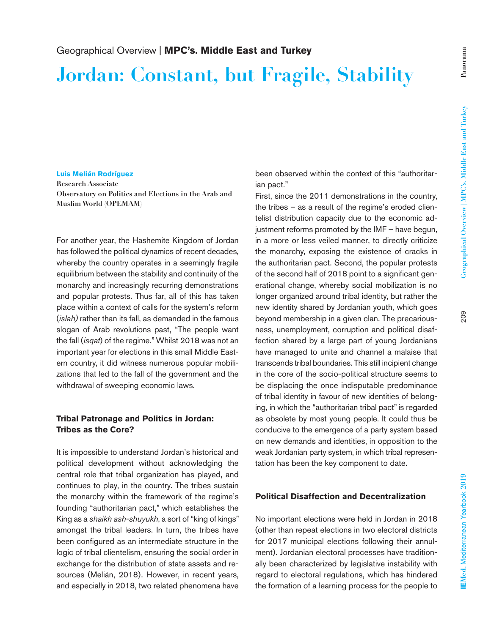# **Jordan: Constant, but Fragile, Stability**

#### **Luis Melián Rodríguez**

**Research Associate Observatory on Politics and Elections in the Arab and Muslim World (OPEMAM)**

For another year, the Hashemite Kingdom of Jordan has followed the political dynamics of recent decades, whereby the country operates in a seemingly fragile equilibrium between the stability and continuity of the monarchy and increasingly recurring demonstrations and popular protests. Thus far, all of this has taken place within a context of calls for the system's reform (*islah)* rather than its fall, as demanded in the famous slogan of Arab revolutions past, "The people want the fall (*isqat*) of the regime." Whilst 2018 was not an important year for elections in this small Middle Eastern country, it did witness numerous popular mobilizations that led to the fall of the government and the withdrawal of sweeping economic laws.

## **Tribal Patronage and Politics in Jordan: Tribes as the Core?**

It is impossible to understand Jordan's historical and political development without acknowledging the central role that tribal organization has played, and continues to play, in the country. The tribes sustain the monarchy within the framework of the regime's founding "authoritarian pact," which establishes the King as a *shaikh ash-shuyukh*, a sort of "king of kings" amongst the tribal leaders. In turn, the tribes have been configured as an intermediate structure in the logic of tribal clientelism, ensuring the social order in exchange for the distribution of state assets and resources (Melián, 2018). However, in recent years, and especially in 2018, two related phenomena have

been observed within the context of this "authoritarian pact."

First, since the 2011 demonstrations in the country, the tribes – as a result of the regime's eroded clientelist distribution capacity due to the economic adjustment reforms promoted by the IMF – have begun, in a more or less veiled manner, to directly criticize the monarchy, exposing the existence of cracks in the authoritarian pact. Second, the popular protests of the second half of 2018 point to a significant generational change, whereby social mobilization is no longer organized around tribal identity, but rather the new identity shared by Jordanian youth, which goes beyond membership in a given clan. The precariousness, unemployment, corruption and political disaffection shared by a large part of young Jordanians have managed to unite and channel a malaise that transcends tribal boundaries. This still incipient change in the core of the socio-political structure seems to be displacing the once indisputable predominance of tribal identity in favour of new identities of belonging, in which the "authoritarian tribal pact" is regarded as obsolete by most young people. It could thus be conducive to the emergence of a party system based on new demands and identities, in opposition to the weak Jordanian party system, in which tribal representation has been the key component to date.

### **Political Disaffection and Decentralization**

No important elections were held in Jordan in 2018 (other than repeat elections in two electoral districts for 2017 municipal elections following their annulment). Jordanian electoral processes have traditionally been characterized by legislative instability with regard to electoral regulations, which has hindered the formation of a learning process for the people to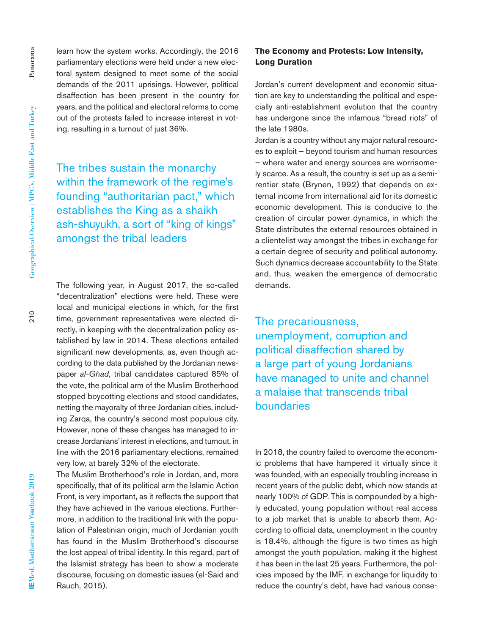$210$ 

learn how the system works. Accordingly, the 2016 parliamentary elections were held under a new electoral system designed to meet some of the social demands of the 2011 uprisings. However, political disaffection has been present in the country for years, and the political and electoral reforms to come out of the protests failed to increase interest in voting, resulting in a turnout of just 36%.

The tribes sustain the monarchy within the framework of the regime's founding "authoritarian pact," which establishes the King as a shaikh ash-shuyukh, a sort of "king of kings" amongst the tribal leaders

The following year, in August 2017, the so-called "decentralization" elections were held. These were local and municipal elections in which, for the first time, government representatives were elected directly, in keeping with the decentralization policy established by law in 2014. These elections entailed significant new developments, as, even though according to the data published by the Jordanian newspaper *al-Ghad*, tribal candidates captured 85% of the vote, the political arm of the Muslim Brotherhood stopped boycotting elections and stood candidates, netting the mayoralty of three Jordanian cities, including Zarqa, the country's second most populous city. However, none of these changes has managed to increase Jordanians' interest in elections, and turnout, in line with the 2016 parliamentary elections, remained very low, at barely 32% of the electorate.

The Muslim Brotherhood's role in Jordan, and, more specifically, that of its political arm the Islamic Action Front, is very important, as it reflects the support that they have achieved in the various elections. Furthermore, in addition to the traditional link with the population of Palestinian origin, much of Jordanian youth has found in the Muslim Brotherhood's discourse the lost appeal of tribal identity. In this regard, part of the Islamist strategy has been to show a moderate discourse, focusing on domestic issues (el-Said and Rauch, 2015).

## **The Economy and Protests: Low Intensity, Long Duration**

Jordan's current development and economic situation are key to understanding the political and especially anti-establishment evolution that the country has undergone since the infamous "bread riots" of the late 1980s.

Jordan is a country without any major natural resources to exploit – beyond tourism and human resources – where water and energy sources are worrisomely scarce. As a result, the country is set up as a semirentier state (Brynen, 1992) that depends on external income from international aid for its domestic economic development. This is conducive to the creation of circular power dynamics, in which the State distributes the external resources obtained in a clientelist way amongst the tribes in exchange for a certain degree of security and political autonomy. Such dynamics decrease accountability to the State and, thus, weaken the emergence of democratic demands.

The precariousness, unemployment, corruption and political disaffection shared by a large part of young Jordanians have managed to unite and channel a malaise that transcends tribal boundaries

In 2018, the country failed to overcome the economic problems that have hampered it virtually since it was founded, with an especially troubling increase in recent years of the public debt, which now stands at nearly 100% of GDP. This is compounded by a highly educated, young population without real access to a job market that is unable to absorb them. According to official data, unemployment in the country is 18.4%, although the figure is two times as high amongst the youth population, making it the highest it has been in the last 25 years. Furthermore, the policies imposed by the IMF, in exchange for liquidity to reduce the country's debt, have had various conse-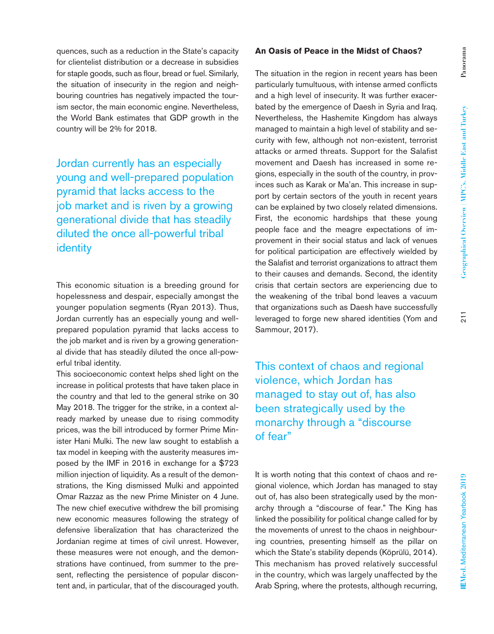**Panorama**

Panorama

quences, such as a reduction in the State's capacity for clientelist distribution or a decrease in subsidies for staple goods, such as flour, bread or fuel. Similarly, the situation of insecurity in the region and neighbouring countries has negatively impacted the tourism sector, the main economic engine. Nevertheless, the World Bank estimates that GDP growth in the country will be 2% for 2018.

Jordan currently has an especially young and well-prepared population pyramid that lacks access to the job market and is riven by a growing generational divide that has steadily diluted the once all-powerful tribal identity

This economic situation is a breeding ground for hopelessness and despair, especially amongst the younger population segments (Ryan 2013). Thus, Jordan currently has an especially young and wellprepared population pyramid that lacks access to the job market and is riven by a growing generational divide that has steadily diluted the once all-powerful tribal identity.

This socioeconomic context helps shed light on the increase in political protests that have taken place in the country and that led to the general strike on 30 May 2018. The trigger for the strike, in a context already marked by unease due to rising commodity prices, was the bill introduced by former Prime Minister Hani Mulki. The new law sought to establish a tax model in keeping with the austerity measures imposed by the IMF in 2016 in exchange for a \$723 million injection of liquidity. As a result of the demonstrations, the King dismissed Mulki and appointed Omar Razzaz as the new Prime Minister on 4 June. The new chief executive withdrew the bill promising new economic measures following the strategy of defensive liberalization that has characterized the Jordanian regime at times of civil unrest. However, these measures were not enough, and the demonstrations have continued, from summer to the present, reflecting the persistence of popular discontent and, in particular, that of the discouraged youth.

## **An Oasis of Peace in the Midst of Chaos?**

The situation in the region in recent years has been particularly tumultuous, with intense armed conflicts and a high level of insecurity. It was further exacerbated by the emergence of Daesh in Syria and Iraq. Nevertheless, the Hashemite Kingdom has always managed to maintain a high level of stability and security with few, although not non-existent, terrorist attacks or armed threats. Support for the Salafist movement and Daesh has increased in some regions, especially in the south of the country, in provinces such as Karak or Ma'an. This increase in support by certain sectors of the youth in recent years can be explained by two closely related dimensions. First, the economic hardships that these young people face and the meagre expectations of improvement in their social status and lack of venues for political participation are effectively wielded by the Salafist and terrorist organizations to attract them to their causes and demands. Second, the identity crisis that certain sectors are experiencing due to the weakening of the tribal bond leaves a vacuum that organizations such as Daesh have successfully leveraged to forge new shared identities (Yom and Sammour, 2017).

This context of chaos and regional violence, which Jordan has managed to stay out of, has also been strategically used by the monarchy through a "discourse of fear"

It is worth noting that this context of chaos and regional violence, which Jordan has managed to stay out of, has also been strategically used by the monarchy through a "discourse of fear." The King has linked the possibility for political change called for by the movements of unrest to the chaos in neighbouring countries, presenting himself as the pillar on which the State's stability depends (Köprülü, 2014). This mechanism has proved relatively successful in the country, which was largely unaffected by the Arab Spring, where the protests, although recurring,